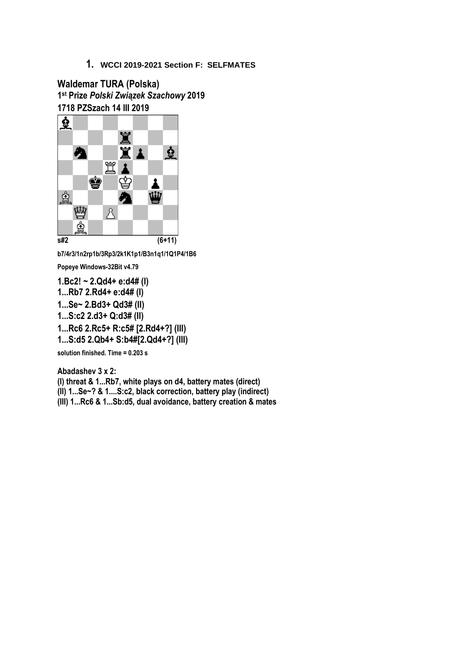**Waldemar TURA (Polska) 1 st Prize** *Polski Związek Szachowy* **2019 1718 PZSzach 14 III 2019**



**b7/4r3/1n2rp1b/3Rp3/2k1K1p1/B3n1q1/1Q1P4/1B6**

**Popeye Windows-32Bit v4.79**

**1.Bc2! ~ 2.Qd4+ e:d4# (I) 1...Rb7 2.Rd4+ e:d4# (I) 1...Se~ 2.Bd3+ Qd3# (II) 1...S:c2 2.d3+ Q:d3# (II) 1...Rc6 2.Rc5+ R:c5# [2.Rd4+?] (III) 1...S:d5 2.Qb4+ S:b4#[2.Qd4+?] (III)**

**solution finished. Time = 0.203 s**

**Abadashev 3 x 2: (I) threat & 1...Rb7, white plays on d4, battery mates (direct) (II) 1...Se~? & 1....S:c2, black correction, battery play (indirect) (III) 1...Rc6 & 1...Sb:d5, dual avoidance, battery creation & mates**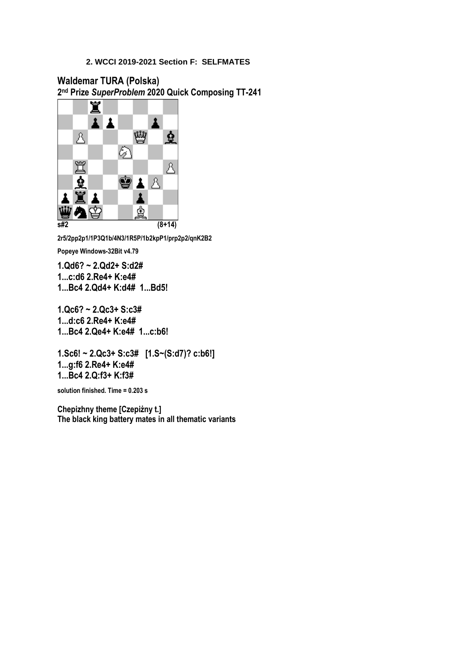**Waldemar TURA (Polska) 2 nd Prize** *SuperProblem* **2020 Quick Composing TT-241**



**2r5/2pp2p1/1P3Q1b/4N3/1R5P/1b2kpP1/prp2p2/qnK2B2**

**Popeye Windows-32Bit v4.79**

**1.Qd6? ~ 2.Qd2+ S:d2# 1...c:d6 2.Re4+ K:e4# 1...Bc4 2.Qd4+ K:d4# 1...Bd5!**

**1.Qc6? ~ 2.Qc3+ S:c3# 1...d:c6 2.Re4+ K:e4# 1...Bc4 2.Qe4+ K:e4# 1...c:b6!**

**1.Sc6! ~ 2.Qc3+ S:c3# [1.S~(S:d7)? c:b6!] 1...g:f6 2.Re4+ K:e4# 1...Bc4 2.Q:f3+ K:f3#**

**solution finished. Time = 0.203 s**

**Chepizhny theme [Czepiżny t.] The black king battery mates in all thematic variants**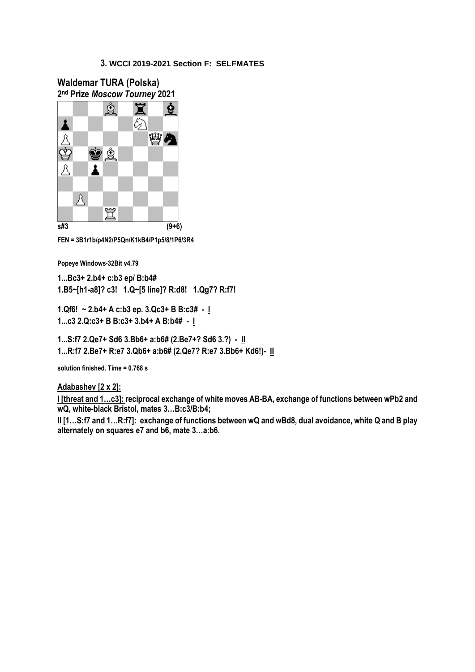

**FEN = 3B1r1b/p4N2/P5Qn/K1kB4/P1p5/8/1P6/3R4**

**Popeye Windows-32Bit v4.79**

**1...Bc3+ 2.b4+ c:b3 ep/ B:b4# 1.B5~[h1-a8]? c3! 1.Q~[5 line]? R:d8! 1.Qg7? R:f7!**

**1.Qf6! ~ 2.b4+ A c:b3 ep. 3.Qc3+ B B:c3# - I 1...c3 2.Q:c3+ B B:c3+ 3.b4+ A B:b4# - I**

**1...S:f7 2.Qe7+ Sd6 3.Bb6+ a:b6# (2.Be7+? Sd6 3.?) - II 1...R:f7 2.Be7+ R:e7 3.Qb6+ a:b6# (2.Qe7? R:e7 3.Bb6+ Kd6!)- II**

**solution finished. Time = 0.768 s**

**Adabashev [2 x 2]:**

**I [threat and 1…c3]: reciprocal exchange of white moves AB-BA, exchange of functions between wPb2 and wQ, white-black Bristol, mates 3…B:c3/B:b4;**

**II [1…S:f7 and 1…R:f7]: exchange of functions between wQ and wBd8, dual avoidance, white Q and B play alternately on squares e7 and b6, mate 3…a:b6.**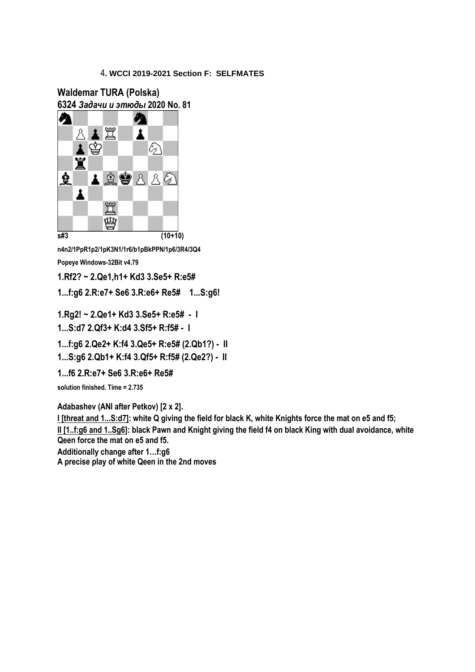**Waldemar TURA (Polska) 6324** *Задачи и этюды* **2020 No. 81**



**n4n2/1PpR1p2/1pK3N1/1r6/b1pBkPPN/1p6/3R4/3Q4 Popeye Windows-32Bit v4.79**

**1.Rf2? ~ 2.Qe1,h1+ Kd3 3.Se5+ R:e5#**

**1...f:g6 2.R:e7+ Se6 3.R:e6+ Re5# 1...S:g6!**

**1.Rg2! ~ 2.Qe1+ Kd3 3.Se5+ R:e5# - I**

**1...S:d7 2.Qf3+ K:d4 3.Sf5+ R:f5# - I**

**1...f:g6 2.Qe2+ K:f4 3.Qe5+ R:e5# (2.Qb1?) - II**

**1...S:g6 2.Qb1+ K:f4 3.Qf5+ R:f5# (2.Qe2?) - II**

**1...f6 2.R:e7+ Se6 3.R:e6+ Re5#**

**solution finished. Time = 2.735**

**Adabashev (ANI after Petkov) [2 x 2].**

**I [threat and 1...S:d7]: white Q giving the field for black K, white Knights force the mat on e5 and f5; II [1..f:g6 and 1..Sg6]: black Pawn and Knight giving the field f4 on black King with dual avoidance, white Qeen force the mat on e5 and f5.**

**Additionally change after 1…f:g6**

**A precise play of white Qeen in the 2nd moves**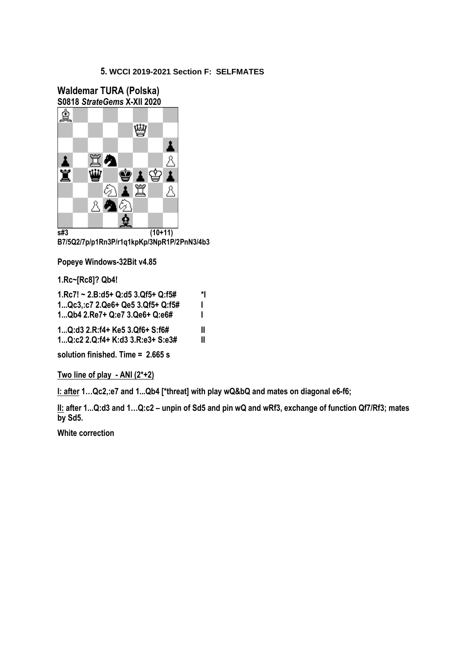



**B7/5Q2/7p/p1Rn3P/r1q1kpKp/3NpR1P/2PnN3/4b3**

**Popeye Windows-32Bit v4.85**

**1.Rc~[Rc8]? Qb4!**

| $1 \text{Rc}$ 7! ~ 2.B:d5+ Q:d5 3.Qf5+ Q:f5#                                                                                                      | *l     |   |
|---------------------------------------------------------------------------------------------------------------------------------------------------|--------|---|
| 1 Qc3.: c7 2. Qe6+ Qe5 3. Qf5+ Q: f5#<br>1 Qb4 2.Re7+ Q:e7 3.Qe6+ Q:e6#<br>1 Q:d3 2.R:f4+ Ke5 3.Qf6+ S:f6#<br>1 Q:c2 2. Q:f4+ K:d3 3. R:e3+ S:e3# | ı<br>Ш |   |
|                                                                                                                                                   |        | Ш |

**solution finished. Time = 2.665 s**

**Two line of play - ANI (2\*+2)**

**I: after 1…Qc2,:e7 and 1...Qb4 [\*threat] with play wQ&bQ and mates on diagonal e6-f6;**

**II: after 1...Q:d3 and 1…Q:c2 – unpin of Sd5 and pin wQ and wRf3, exchange of function Qf7/Rf3; mates by Sd5.**

**White correction**